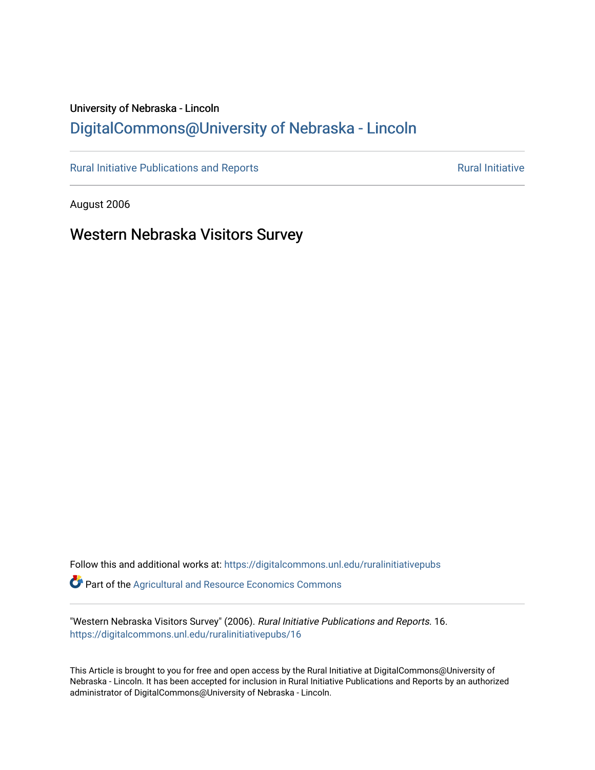# University of Nebraska - Lincoln [DigitalCommons@University of Nebraska - Lincoln](https://digitalcommons.unl.edu/)

[Rural Initiative Publications and Reports](https://digitalcommons.unl.edu/ruralinitiativepubs) **Rural Initiative** Rural Initiative

August 2006

Western Nebraska Visitors Survey

Follow this and additional works at: [https://digitalcommons.unl.edu/ruralinitiativepubs](https://digitalcommons.unl.edu/ruralinitiativepubs?utm_source=digitalcommons.unl.edu%2Fruralinitiativepubs%2F16&utm_medium=PDF&utm_campaign=PDFCoverPages)  **Part of the Agricultural and Resource Economics Commons** 

"Western Nebraska Visitors Survey" (2006). Rural Initiative Publications and Reports. 16. [https://digitalcommons.unl.edu/ruralinitiativepubs/16](https://digitalcommons.unl.edu/ruralinitiativepubs/16?utm_source=digitalcommons.unl.edu%2Fruralinitiativepubs%2F16&utm_medium=PDF&utm_campaign=PDFCoverPages)

This Article is brought to you for free and open access by the Rural Initiative at DigitalCommons@University of Nebraska - Lincoln. It has been accepted for inclusion in Rural Initiative Publications and Reports by an authorized administrator of DigitalCommons@University of Nebraska - Lincoln.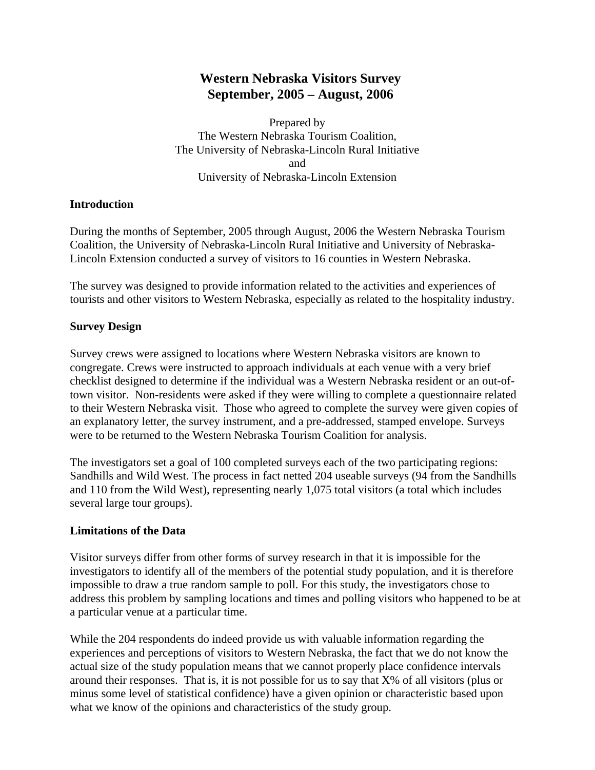## **Western Nebraska Visitors Survey September, 2005 – August, 2006**

Prepared by The Western Nebraska Tourism Coalition, The University of Nebraska-Lincoln Rural Initiative and University of Nebraska-Lincoln Extension

#### **Introduction**

During the months of September, 2005 through August, 2006 the Western Nebraska Tourism Coalition, the University of Nebraska-Lincoln Rural Initiative and University of Nebraska-Lincoln Extension conducted a survey of visitors to 16 counties in Western Nebraska.

The survey was designed to provide information related to the activities and experiences of tourists and other visitors to Western Nebraska, especially as related to the hospitality industry.

#### **Survey Design**

Survey crews were assigned to locations where Western Nebraska visitors are known to congregate. Crews were instructed to approach individuals at each venue with a very brief checklist designed to determine if the individual was a Western Nebraska resident or an out-oftown visitor. Non-residents were asked if they were willing to complete a questionnaire related to their Western Nebraska visit. Those who agreed to complete the survey were given copies of an explanatory letter, the survey instrument, and a pre-addressed, stamped envelope. Surveys were to be returned to the Western Nebraska Tourism Coalition for analysis.

The investigators set a goal of 100 completed surveys each of the two participating regions: Sandhills and Wild West. The process in fact netted 204 useable surveys (94 from the Sandhills and 110 from the Wild West), representing nearly 1,075 total visitors (a total which includes several large tour groups).

#### **Limitations of the Data**

Visitor surveys differ from other forms of survey research in that it is impossible for the investigators to identify all of the members of the potential study population, and it is therefore impossible to draw a true random sample to poll. For this study, the investigators chose to address this problem by sampling locations and times and polling visitors who happened to be at a particular venue at a particular time.

While the 204 respondents do indeed provide us with valuable information regarding the experiences and perceptions of visitors to Western Nebraska, the fact that we do not know the actual size of the study population means that we cannot properly place confidence intervals around their responses. That is, it is not possible for us to say that X% of all visitors (plus or minus some level of statistical confidence) have a given opinion or characteristic based upon what we know of the opinions and characteristics of the study group.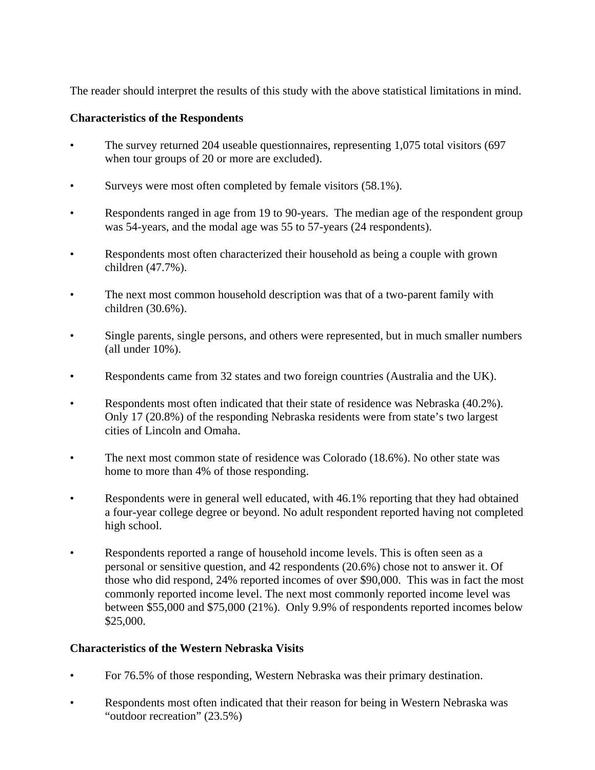The reader should interpret the results of this study with the above statistical limitations in mind.

## **Characteristics of the Respondents**

- The survey returned 204 useable questionnaires, representing 1,075 total visitors (697 when tour groups of 20 or more are excluded).
- Surveys were most often completed by female visitors (58.1%).
- Respondents ranged in age from 19 to 90-years. The median age of the respondent group was 54-years, and the modal age was 55 to 57-years (24 respondents).
- Respondents most often characterized their household as being a couple with grown children (47.7%).
- The next most common household description was that of a two-parent family with children (30.6%).
- Single parents, single persons, and others were represented, but in much smaller numbers (all under 10%).
- Respondents came from 32 states and two foreign countries (Australia and the UK).
- Respondents most often indicated that their state of residence was Nebraska (40.2%). Only 17 (20.8%) of the responding Nebraska residents were from state's two largest cities of Lincoln and Omaha.
- The next most common state of residence was Colorado (18.6%). No other state was home to more than 4% of those responding.
- Respondents were in general well educated, with 46.1% reporting that they had obtained a four-year college degree or beyond. No adult respondent reported having not completed high school.
- Respondents reported a range of household income levels. This is often seen as a personal or sensitive question, and 42 respondents (20.6%) chose not to answer it. Of those who did respond, 24% reported incomes of over \$90,000. This was in fact the most commonly reported income level. The next most commonly reported income level was between \$55,000 and \$75,000 (21%). Only 9.9% of respondents reported incomes below \$25,000.

## **Characteristics of the Western Nebraska Visits**

- For 76.5% of those responding, Western Nebraska was their primary destination.
- Respondents most often indicated that their reason for being in Western Nebraska was "outdoor recreation" (23.5%)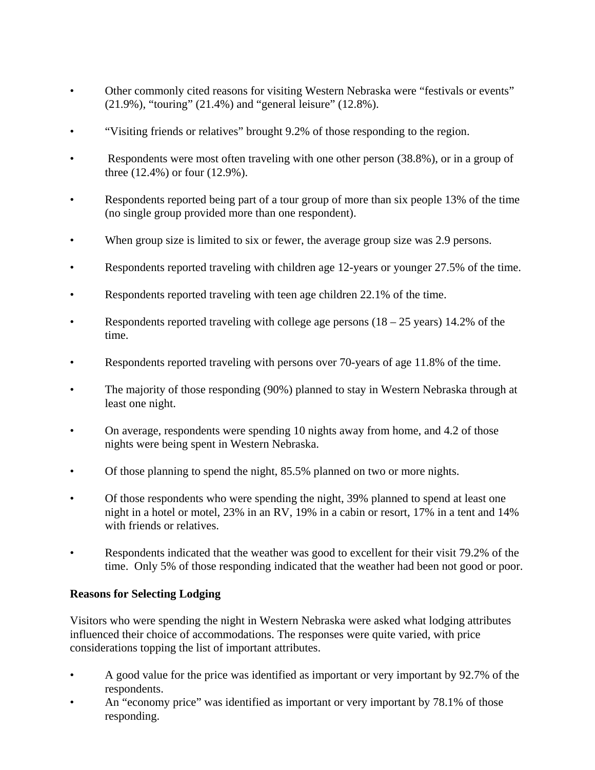- Other commonly cited reasons for visiting Western Nebraska were "festivals or events" (21.9%), "touring" (21.4%) and "general leisure" (12.8%).
- "Visiting friends or relatives" brought 9.2% of those responding to the region.
- Respondents were most often traveling with one other person (38.8%), or in a group of three (12.4%) or four (12.9%).
- Respondents reported being part of a tour group of more than six people 13% of the time (no single group provided more than one respondent).
- When group size is limited to six or fewer, the average group size was 2.9 persons.
- Respondents reported traveling with children age 12-years or younger 27.5% of the time.
- Respondents reported traveling with teen age children 22.1% of the time.
- Respondents reported traveling with college age persons  $(18 25 \text{ years})$  14.2% of the time.
- Respondents reported traveling with persons over 70-years of age 11.8% of the time.
- The majority of those responding (90%) planned to stay in Western Nebraska through at least one night.
- On average, respondents were spending 10 nights away from home, and 4.2 of those nights were being spent in Western Nebraska.
- Of those planning to spend the night, 85.5% planned on two or more nights.
- Of those respondents who were spending the night, 39% planned to spend at least one night in a hotel or motel, 23% in an RV, 19% in a cabin or resort, 17% in a tent and 14% with friends or relatives.
- Respondents indicated that the weather was good to excellent for their visit 79.2% of the time. Only 5% of those responding indicated that the weather had been not good or poor.

## **Reasons for Selecting Lodging**

Visitors who were spending the night in Western Nebraska were asked what lodging attributes influenced their choice of accommodations. The responses were quite varied, with price considerations topping the list of important attributes.

- A good value for the price was identified as important or very important by 92.7% of the respondents.
- An "economy price" was identified as important or very important by 78.1% of those responding.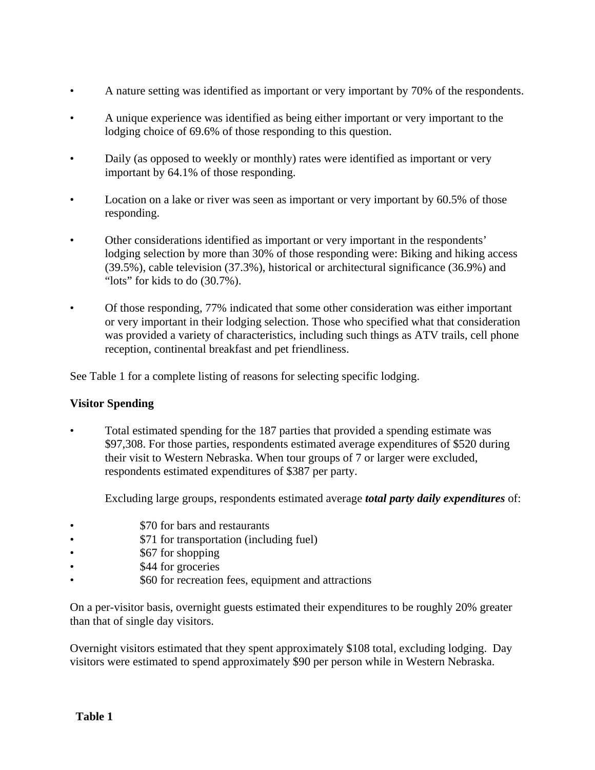- A nature setting was identified as important or very important by 70% of the respondents.
- A unique experience was identified as being either important or very important to the lodging choice of 69.6% of those responding to this question.
- Daily (as opposed to weekly or monthly) rates were identified as important or very important by 64.1% of those responding.
- Location on a lake or river was seen as important or very important by 60.5% of those responding.
- Other considerations identified as important or very important in the respondents' lodging selection by more than 30% of those responding were: Biking and hiking access (39.5%), cable television (37.3%), historical or architectural significance (36.9%) and "lots" for kids to do (30.7%).
- Of those responding, 77% indicated that some other consideration was either important or very important in their lodging selection. Those who specified what that consideration was provided a variety of characteristics, including such things as ATV trails, cell phone reception, continental breakfast and pet friendliness.

See Table 1 for a complete listing of reasons for selecting specific lodging.

## **Visitor Spending**

• Total estimated spending for the 187 parties that provided a spending estimate was \$97,308. For those parties, respondents estimated average expenditures of \$520 during their visit to Western Nebraska. When tour groups of 7 or larger were excluded, respondents estimated expenditures of \$387 per party.

Excluding large groups, respondents estimated average *total party daily expenditures* of:

- **\$70 for bars and restaurants**
- \$71 for transportation (including fuel)
- \$67 for shopping
- \$44 for groceries
- \$60 for recreation fees, equipment and attractions

On a per-visitor basis, overnight guests estimated their expenditures to be roughly 20% greater than that of single day visitors.

Overnight visitors estimated that they spent approximately \$108 total, excluding lodging. Day visitors were estimated to spend approximately \$90 per person while in Western Nebraska.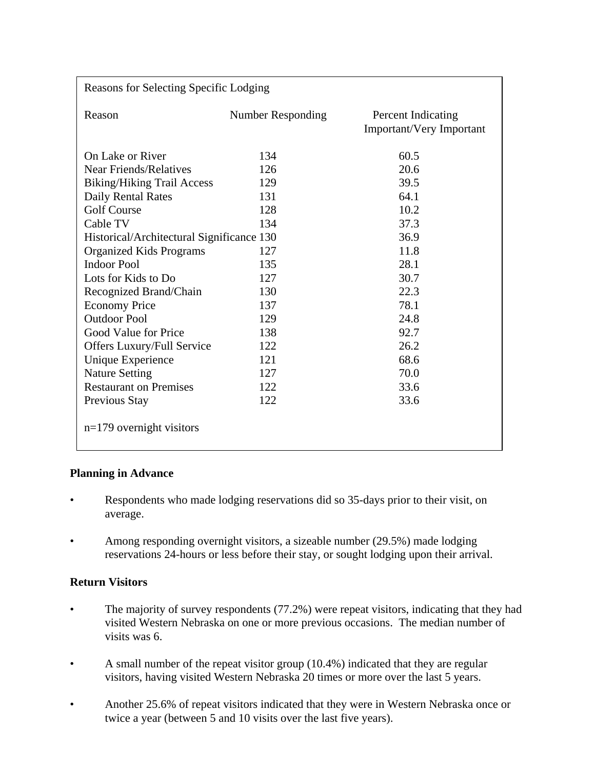| Reasons for Selecting Specific Lodging    |                   |                                                       |  |
|-------------------------------------------|-------------------|-------------------------------------------------------|--|
| Reason                                    | Number Responding | <b>Percent Indicating</b><br>Important/Very Important |  |
| On Lake or River                          | 134               | 60.5                                                  |  |
| <b>Near Friends/Relatives</b>             | 126               | 20.6                                                  |  |
| <b>Biking/Hiking Trail Access</b>         | 129               | 39.5                                                  |  |
| Daily Rental Rates                        | 131               | 64.1                                                  |  |
| <b>Golf Course</b>                        | 128               | 10.2                                                  |  |
| Cable TV                                  | 134               | 37.3                                                  |  |
| Historical/Architectural Significance 130 |                   | 36.9                                                  |  |
| <b>Organized Kids Programs</b>            | 127               | 11.8                                                  |  |
| <b>Indoor Pool</b>                        | 135               | 28.1                                                  |  |
| Lots for Kids to Do                       | 127               | 30.7                                                  |  |
| Recognized Brand/Chain                    | 130               | 22.3                                                  |  |
| <b>Economy Price</b>                      | 137               | 78.1                                                  |  |
| <b>Outdoor Pool</b>                       | 129               | 24.8                                                  |  |
| Good Value for Price                      | 138               | 92.7                                                  |  |
| Offers Luxury/Full Service                | 122               | 26.2                                                  |  |
| Unique Experience                         | 121               | 68.6                                                  |  |
| <b>Nature Setting</b>                     | 127               | 70.0                                                  |  |
| <b>Restaurant on Premises</b>             | 122               | 33.6                                                  |  |
| Previous Stay                             | 122               | 33.6                                                  |  |
| $n=179$ overnight visitors                |                   |                                                       |  |

## **Planning in Advance**

- Respondents who made lodging reservations did so 35-days prior to their visit, on average.
- Among responding overnight visitors, a sizeable number (29.5%) made lodging reservations 24-hours or less before their stay, or sought lodging upon their arrival.

## **Return Visitors**

- The majority of survey respondents (77.2%) were repeat visitors, indicating that they had visited Western Nebraska on one or more previous occasions. The median number of visits was 6.
- A small number of the repeat visitor group (10.4%) indicated that they are regular visitors, having visited Western Nebraska 20 times or more over the last 5 years.
- Another 25.6% of repeat visitors indicated that they were in Western Nebraska once or twice a year (between 5 and 10 visits over the last five years).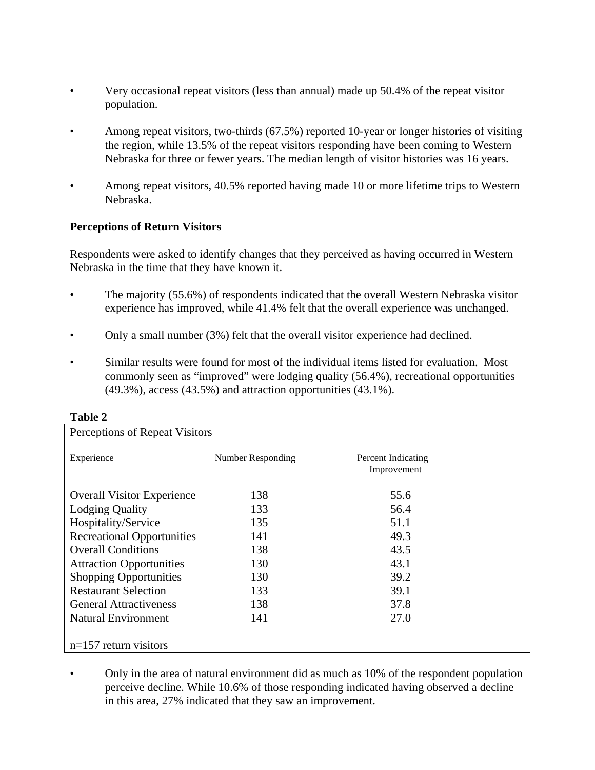- Very occasional repeat visitors (less than annual) made up 50.4% of the repeat visitor population.
- Among repeat visitors, two-thirds (67.5%) reported 10-year or longer histories of visiting the region, while 13.5% of the repeat visitors responding have been coming to Western Nebraska for three or fewer years. The median length of visitor histories was 16 years.
- Among repeat visitors, 40.5% reported having made 10 or more lifetime trips to Western Nebraska.

## **Perceptions of Return Visitors**

Respondents were asked to identify changes that they perceived as having occurred in Western Nebraska in the time that they have known it.

- The majority (55.6%) of respondents indicated that the overall Western Nebraska visitor experience has improved, while 41.4% felt that the overall experience was unchanged.
- Only a small number (3%) felt that the overall visitor experience had declined.
- Similar results were found for most of the individual items listed for evaluation. Most commonly seen as "improved" were lodging quality (56.4%), recreational opportunities  $(49.3\%)$ , access  $(43.5\%)$  and attraction opportunities  $(43.1\%)$ .

| 1 avie 4                          |                   |                                   |  |
|-----------------------------------|-------------------|-----------------------------------|--|
| Perceptions of Repeat Visitors    |                   |                                   |  |
| Experience                        | Number Responding | Percent Indicating<br>Improvement |  |
| <b>Overall Visitor Experience</b> | 138               | 55.6                              |  |
| <b>Lodging Quality</b>            | 133               | 56.4                              |  |
| Hospitality/Service               | 135               | 51.1                              |  |
| <b>Recreational Opportunities</b> | 141               | 49.3                              |  |
| <b>Overall Conditions</b>         | 138               | 43.5                              |  |
| <b>Attraction Opportunities</b>   | 130               | 43.1                              |  |
| <b>Shopping Opportunities</b>     | 130               | 39.2                              |  |
| <b>Restaurant Selection</b>       | 133               | 39.1                              |  |
| <b>General Attractiveness</b>     | 138               | 37.8                              |  |
| <b>Natural Environment</b>        | 141               | 27.0                              |  |
|                                   |                   |                                   |  |
| $n=157$ return visitors           |                   |                                   |  |

#### **Table 2**

• Only in the area of natural environment did as much as 10% of the respondent population perceive decline. While 10.6% of those responding indicated having observed a decline in this area, 27% indicated that they saw an improvement.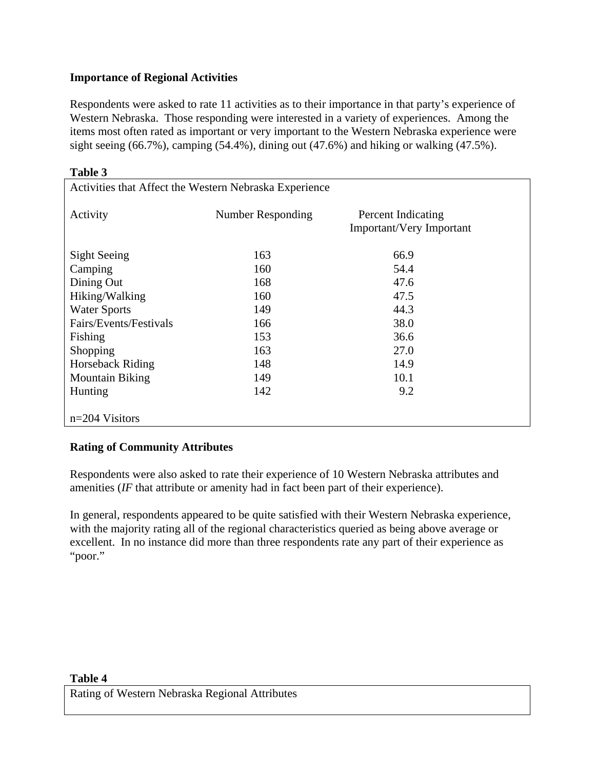## **Importance of Regional Activities**

**Table 3** 

Respondents were asked to rate 11 activities as to their importance in that party's experience of Western Nebraska. Those responding were interested in a variety of experiences. Among the items most often rated as important or very important to the Western Nebraska experience were sight seeing  $(66.7\%)$ , camping  $(54.4\%)$ , dining out  $(47.6\%)$  and hiking or walking  $(47.5\%)$ .

| radic J<br>Activities that Affect the Western Nebraska Experience |                   |                                                       |  |
|-------------------------------------------------------------------|-------------------|-------------------------------------------------------|--|
| Activity                                                          | Number Responding | Percent Indicating<br><b>Important/Very Important</b> |  |
| Sight Seeing                                                      | 163               | 66.9                                                  |  |
| Camping                                                           | 160               | 54.4                                                  |  |
| Dining Out                                                        | 168               | 47.6                                                  |  |
| Hiking/Walking                                                    | 160               | 47.5                                                  |  |
| <b>Water Sports</b>                                               | 149               | 44.3                                                  |  |
| Fairs/Events/Festivals                                            | 166               | 38.0                                                  |  |
| Fishing                                                           | 153               | 36.6                                                  |  |
| Shopping                                                          | 163               | 27.0                                                  |  |
| Horseback Riding                                                  | 148               | 14.9                                                  |  |
| <b>Mountain Biking</b>                                            | 149               | 10.1                                                  |  |
| Hunting                                                           | 142               | 9.2                                                   |  |
| $n=204$ Visitors                                                  |                   |                                                       |  |

## **Rating of Community Attributes**

Respondents were also asked to rate their experience of 10 Western Nebraska attributes and amenities (*IF* that attribute or amenity had in fact been part of their experience).

In general, respondents appeared to be quite satisfied with their Western Nebraska experience, with the majority rating all of the regional characteristics queried as being above average or excellent. In no instance did more than three respondents rate any part of their experience as "poor."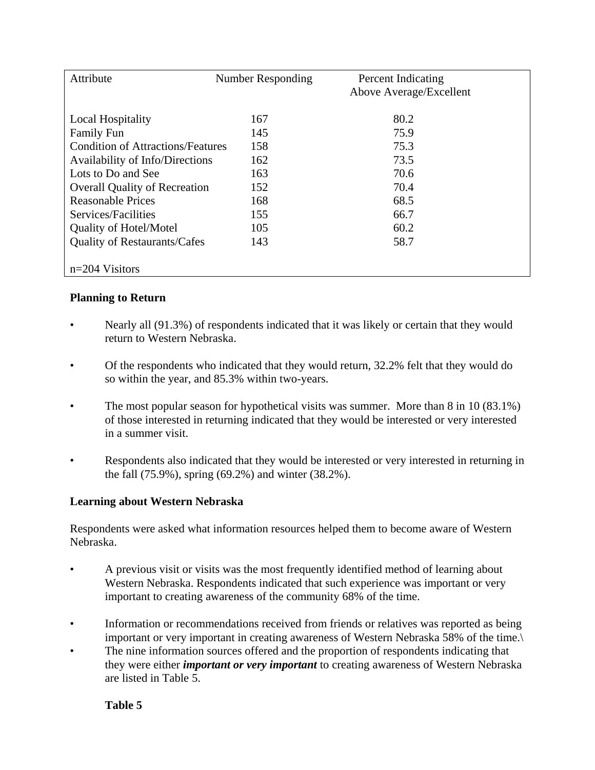| Attribute                                | Number Responding | <b>Percent Indicating</b><br>Above Average/Excellent |
|------------------------------------------|-------------------|------------------------------------------------------|
| <b>Local Hospitality</b>                 | 167               | 80.2                                                 |
| <b>Family Fun</b>                        | 145               | 75.9                                                 |
| <b>Condition of Attractions/Features</b> | 158               | 75.3                                                 |
| Availability of Info/Directions          | 162               | 73.5                                                 |
| Lots to Do and See                       | 163               | 70.6                                                 |
| <b>Overall Quality of Recreation</b>     | 152               | 70.4                                                 |
| Reasonable Prices                        | 168               | 68.5                                                 |
| Services/Facilities                      | 155               | 66.7                                                 |
| <b>Quality of Hotel/Motel</b>            | 105               | 60.2                                                 |
| <b>Quality of Restaurants/Cafes</b>      | 143               | 58.7                                                 |
| $n=204$ Visitors                         |                   |                                                      |

## **Planning to Return**

- Nearly all (91.3%) of respondents indicated that it was likely or certain that they would return to Western Nebraska.
- Of the respondents who indicated that they would return, 32.2% felt that they would do so within the year, and 85.3% within two-years.
- The most popular season for hypothetical visits was summer. More than 8 in 10 (83.1%) of those interested in returning indicated that they would be interested or very interested in a summer visit.
- Respondents also indicated that they would be interested or very interested in returning in the fall (75.9%), spring (69.2%) and winter (38.2%).

## **Learning about Western Nebraska**

Respondents were asked what information resources helped them to become aware of Western Nebraska.

- A previous visit or visits was the most frequently identified method of learning about Western Nebraska. Respondents indicated that such experience was important or very important to creating awareness of the community 68% of the time.
- Information or recommendations received from friends or relatives was reported as being important or very important in creating awareness of Western Nebraska 58% of the time.\
- The nine information sources offered and the proportion of respondents indicating that they were either *important or very important* to creating awareness of Western Nebraska are listed in Table 5.

## **Table 5**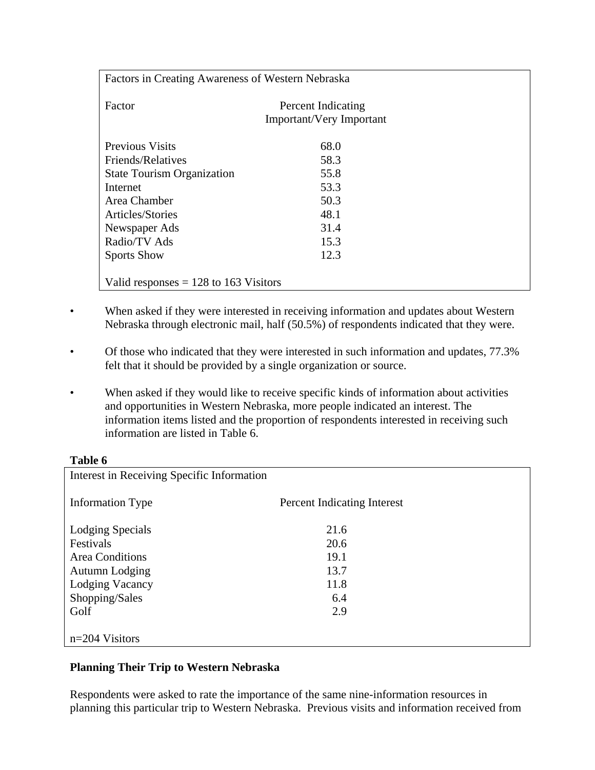| Factors in Creating Awareness of Western Nebraska |                                                       |  |
|---------------------------------------------------|-------------------------------------------------------|--|
| Factor                                            | Percent Indicating<br><b>Important/Very Important</b> |  |
| <b>Previous Visits</b>                            | 68.0                                                  |  |
| Friends/Relatives                                 | 58.3                                                  |  |
| <b>State Tourism Organization</b>                 | 55.8                                                  |  |
| Internet                                          | 53.3                                                  |  |
| Area Chamber                                      | 50.3                                                  |  |
| Articles/Stories                                  | 48.1                                                  |  |
| Newspaper Ads                                     | 31.4                                                  |  |
| Radio/TV Ads                                      | 15.3                                                  |  |
| <b>Sports Show</b>                                | 12.3                                                  |  |
| Valid responses $= 128$ to 163 Visitors           |                                                       |  |

- When asked if they were interested in receiving information and updates about Western Nebraska through electronic mail, half (50.5%) of respondents indicated that they were.
- Of those who indicated that they were interested in such information and updates, 77.3% felt that it should be provided by a single organization or source.
- When asked if they would like to receive specific kinds of information about activities and opportunities in Western Nebraska, more people indicated an interest. The information items listed and the proportion of respondents interested in receiving such information are listed in Table 6.

## **Table 6**

| Interest in Receiving Specific Information |                             |  |
|--------------------------------------------|-----------------------------|--|
| <b>Information Type</b>                    | Percent Indicating Interest |  |
| Lodging Specials                           | 21.6                        |  |
| Festivals                                  | 20.6                        |  |
| <b>Area Conditions</b>                     | 19.1                        |  |
| Autumn Lodging                             | 13.7                        |  |
| Lodging Vacancy                            | 11.8                        |  |
| Shopping/Sales                             | 6.4                         |  |
| Golf                                       | 2.9                         |  |
|                                            |                             |  |
| $n=204$ Visitors                           |                             |  |

## **Planning Their Trip to Western Nebraska**

Respondents were asked to rate the importance of the same nine-information resources in planning this particular trip to Western Nebraska. Previous visits and information received from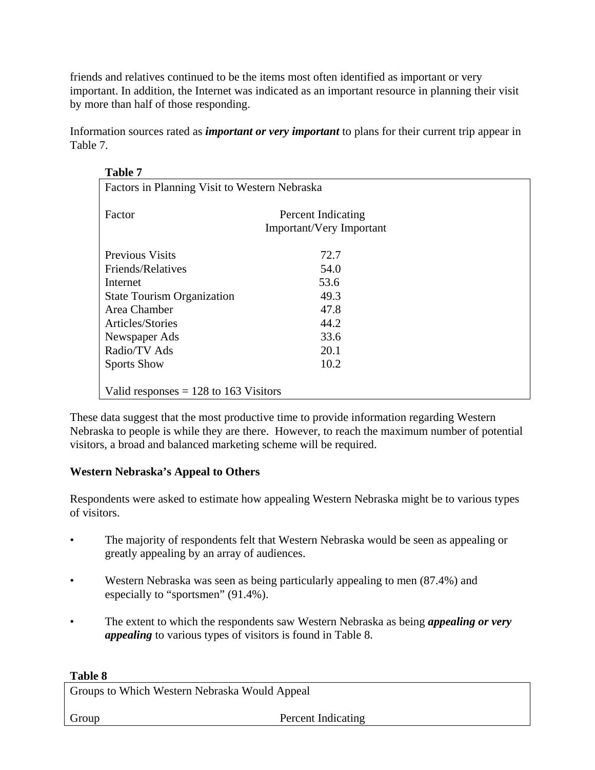friends and relatives continued to be the items most often identified as important or very important. In addition, the Internet was indicated as an important resource in planning their visit by more than half of those responding.

Information sources rated as *important or very important* to plans for their current trip appear in Table 7.

| <b>Table 7</b>                                |                                 |  |
|-----------------------------------------------|---------------------------------|--|
| Factors in Planning Visit to Western Nebraska |                                 |  |
|                                               |                                 |  |
| Factor                                        | Percent Indicating              |  |
|                                               | <b>Important/Very Important</b> |  |
|                                               |                                 |  |
| <b>Previous Visits</b>                        | 72.7                            |  |
| Friends/Relatives                             | 54.0                            |  |
| Internet                                      | 53.6                            |  |
| <b>State Tourism Organization</b>             | 49.3                            |  |
| Area Chamber                                  | 47.8                            |  |
| Articles/Stories                              | 44.2                            |  |
| Newspaper Ads                                 | 33.6                            |  |
| Radio/TV Ads                                  | 20.1                            |  |
| <b>Sports Show</b>                            | 10.2                            |  |
|                                               |                                 |  |
| Valid responses $= 128$ to 163 Visitors       |                                 |  |

These data suggest that the most productive time to provide information regarding Western Nebraska to people is while they are there. However, to reach the maximum number of potential visitors, a broad and balanced marketing scheme will be required.

## **Western Nebraska's Appeal to Others**

Respondents were asked to estimate how appealing Western Nebraska might be to various types of visitors.

- The majority of respondents felt that Western Nebraska would be seen as appealing or greatly appealing by an array of audiences.
- Western Nebraska was seen as being particularly appealing to men (87.4%) and especially to "sportsmen" (91.4%).
- The extent to which the respondents saw Western Nebraska as being *appealing or very appealing* to various types of visitors is found in Table 8.

## **Table 8**

Groups to Which Western Nebraska Would Appeal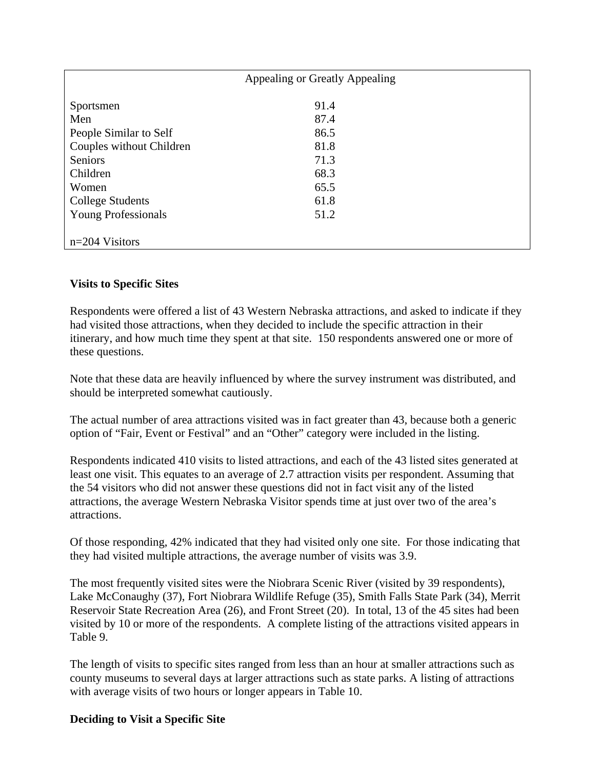| Appealing or Greatly Appealing |      |  |
|--------------------------------|------|--|
| Sportsmen                      | 91.4 |  |
| Men                            | 87.4 |  |
| People Similar to Self         | 86.5 |  |
| Couples without Children       | 81.8 |  |
| Seniors                        | 71.3 |  |
| Children                       | 68.3 |  |
| Women                          | 65.5 |  |
| <b>College Students</b>        | 61.8 |  |
| <b>Young Professionals</b>     | 51.2 |  |
|                                |      |  |
| $n=204$ Visitors               |      |  |

#### **Visits to Specific Sites**

Respondents were offered a list of 43 Western Nebraska attractions, and asked to indicate if they had visited those attractions, when they decided to include the specific attraction in their itinerary, and how much time they spent at that site. 150 respondents answered one or more of these questions.

Note that these data are heavily influenced by where the survey instrument was distributed, and should be interpreted somewhat cautiously.

The actual number of area attractions visited was in fact greater than 43, because both a generic option of "Fair, Event or Festival" and an "Other" category were included in the listing.

Respondents indicated 410 visits to listed attractions, and each of the 43 listed sites generated at least one visit. This equates to an average of 2.7 attraction visits per respondent. Assuming that the 54 visitors who did not answer these questions did not in fact visit any of the listed attractions, the average Western Nebraska Visitor spends time at just over two of the area's attractions.

Of those responding, 42% indicated that they had visited only one site. For those indicating that they had visited multiple attractions, the average number of visits was 3.9.

The most frequently visited sites were the Niobrara Scenic River (visited by 39 respondents), Lake McConaughy (37), Fort Niobrara Wildlife Refuge (35), Smith Falls State Park (34), Merrit Reservoir State Recreation Area (26), and Front Street (20). In total, 13 of the 45 sites had been visited by 10 or more of the respondents. A complete listing of the attractions visited appears in Table 9.

The length of visits to specific sites ranged from less than an hour at smaller attractions such as county museums to several days at larger attractions such as state parks. A listing of attractions with average visits of two hours or longer appears in Table 10.

#### **Deciding to Visit a Specific Site**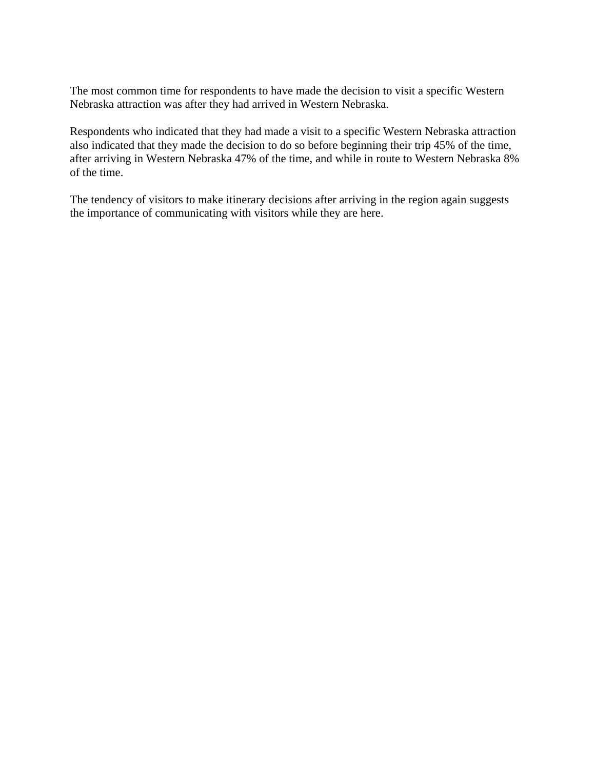The most common time for respondents to have made the decision to visit a specific Western Nebraska attraction was after they had arrived in Western Nebraska.

Respondents who indicated that they had made a visit to a specific Western Nebraska attraction also indicated that they made the decision to do so before beginning their trip 45% of the time, after arriving in Western Nebraska 47% of the time, and while in route to Western Nebraska 8% of the time.

The tendency of visitors to make itinerary decisions after arriving in the region again suggests the importance of communicating with visitors while they are here.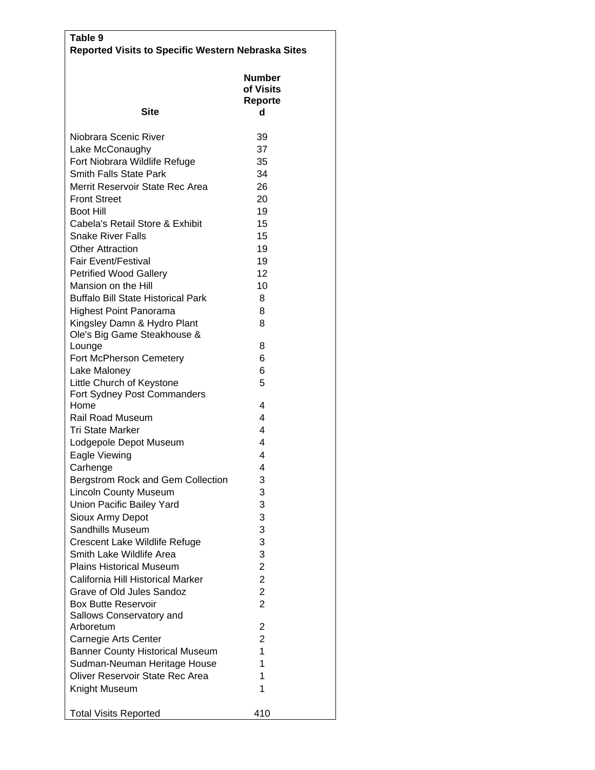| Table 9<br><b>Reported Visits to Specific Western Nebraska Sites</b> |                                     |
|----------------------------------------------------------------------|-------------------------------------|
| <b>Site</b>                                                          | Number<br>of Visits<br>Reporte<br>d |
|                                                                      |                                     |
| Niobrara Scenic River                                                | 39                                  |
| Lake McConaughy                                                      | 37                                  |
| Fort Niobrara Wildlife Refuge<br>Smith Falls State Park              | 35<br>34                            |
| Merrit Reservoir State Rec Area                                      | 26                                  |
| <b>Front Street</b>                                                  | 20                                  |
| <b>Boot Hill</b>                                                     | 19                                  |
| Cabela's Retail Store & Exhibit                                      | 15                                  |
| <b>Snake River Falls</b>                                             | 15                                  |
| <b>Other Attraction</b>                                              | 19                                  |
| Fair Event/Festival                                                  | 19                                  |
| <b>Petrified Wood Gallery</b>                                        | 12                                  |
| Mansion on the Hill                                                  | 10                                  |
| <b>Buffalo Bill State Historical Park</b>                            | 8                                   |
| <b>Highest Point Panorama</b>                                        | 8                                   |
| Kingsley Damn & Hydro Plant                                          | 8                                   |
| Ole's Big Game Steakhouse &                                          |                                     |
| Lounge                                                               | 8                                   |
| Fort McPherson Cemetery                                              | 6                                   |
| Lake Maloney                                                         | 6                                   |
| Little Church of Keystone<br>Fort Sydney Post Commanders             | 5                                   |
| Home                                                                 | 4                                   |
| <b>Rail Road Museum</b>                                              | 4                                   |
| <b>Tri State Marker</b>                                              | 4                                   |
| Lodgepole Depot Museum                                               | 4                                   |
| Eagle Viewing                                                        | 4                                   |
| Carhenge                                                             | 4                                   |
| Bergstrom Rock and Gem Collection                                    | 3                                   |
| <b>Lincoln County Museum</b>                                         | 3                                   |
| Union Pacific Bailey Yard                                            | 3                                   |
| Sioux Army Depot                                                     | 3                                   |
| Sandhills Museum                                                     | 3                                   |
| Crescent Lake Wildlife Refuge                                        | 3                                   |
| Smith Lake Wildlife Area                                             | 3                                   |
| <b>Plains Historical Museum</b>                                      | $\overline{2}$<br>$\overline{2}$    |
| California Hill Historical Marker<br>Grave of Old Jules Sandoz       | $\overline{2}$                      |
| <b>Box Butte Reservoir</b>                                           | $\overline{2}$                      |
| Sallows Conservatory and                                             |                                     |
| Arboretum                                                            | 2                                   |
| Carnegie Arts Center                                                 | $\overline{2}$                      |
| <b>Banner County Historical Museum</b>                               | 1                                   |
| Sudman-Neuman Heritage House                                         | 1                                   |
| Oliver Reservoir State Rec Area                                      | 1                                   |
| Knight Museum                                                        | 1                                   |
|                                                                      |                                     |
| <b>Total Visits Reported</b>                                         | 410                                 |